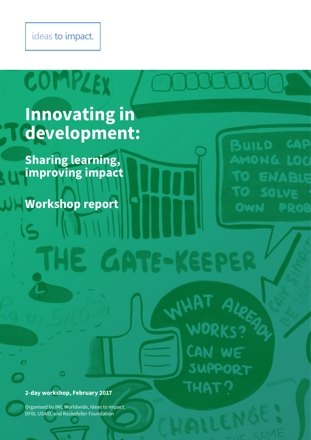# COMPLEY

# **Innovating in development:**

**Sharing learning, improving impact**

**Workshop report**

BUILD CAP **ONG LOC ENARL SOLVE OWN** 

CAN WE

ТНАТ?

SUPPORT

**2-day workshop, February 2017**

 $\bullet$ 

Organised by IMC Worldwide, Ideas to Impact, DFID, USAID, and Rockefeller Foundation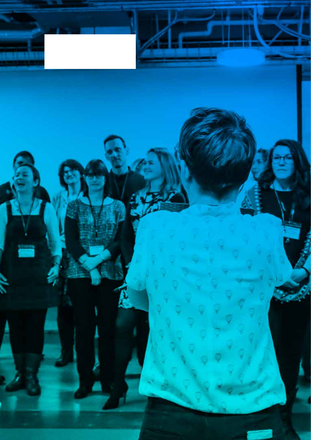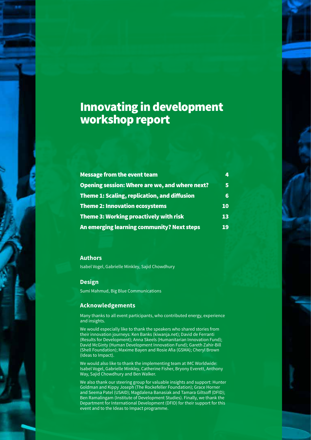# Innovating in development workshop report

| <b>Message from the event team</b>                                                                    |        |
|-------------------------------------------------------------------------------------------------------|--------|
| <b>Opening session: Where are we, and where next?</b><br>Theme 1: Scaling, replication, and diffusion | 5<br>6 |
|                                                                                                       |        |
| Theme 3: Working proactively with risk                                                                | 13     |
| An emerging learning community? Next steps                                                            | 19     |

# **Authors**

Isabel Vogel, Gabrielle Minkley, Sajid Chowdhury

# **Design**

Sumi Mahmud, Big Blue Communications

# **Acknowledgements**

Many thanks to all event participants, who contributed energy, experience and insights.

We would especially like to thank the speakers who shared stories from their innovation journeys: Ken Banks (kiwanja.net); David de Ferranti (Results for Development); Anna Skeels (Humanitarian Innovation Fund); David McGinty (Human Development Innovation Fund); Gareth Zahir-Bill (Shell Foundation); Maxime Bayen and Rosie Afia (GSMA); Cheryl Brown (Ideas to Impact).

We would also like to thank the implementing team at IMC Worldwide: Isabel Vogel, Gabrielle Minkley, Catherine Fisher, Bryony Everett, Anthony Way, Sajid Chowdhury and Ben Walker.

We also thank our steering group for valuable insights and support: Hunter Goldman and Kippy Joseph (The Rockefeller Foundation); Grace Horner and Seema Patel (USAID); Magdalena Banasiak and Tamara Giltsoff (DFID); Ben Ramalingam (Institute of Development Studies). Finally, we thank the Department for International Development (DFID) for their support for this event and to the Ideas to Impact programme.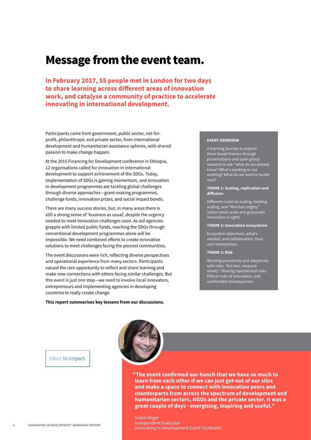# Message from the event team.

**In February 2017, 55 people met in London for two days to share learning across different areas of innovation work, and catalyse a community of practice to accelerate innovating in international development.** 

Participants came from government, public sector, not-forprofit, philanthropic and private sector, from international development and humanitarian assistance spheres, with shared passion to make change happen.

At the 2015 Financing for Development conference in Ethiopia, 12 organisations called for innovation in international development to support achievement of the SDGs. Today, implementation of SDGs is gaining momentum, and innovation in development programmes are tackling global challenges through diverse approaches—grant-making programmes, challenge funds, innovation prizes, and social impact bonds.

There are many success stories, but, in many areas there is still a strong sense of 'business as usual', despite the urgency needed to meet innovation challenges soon. As aid agencies grapple with limited public funds, reaching the SDGs through conventional development programmes alone will be impossible. We need combined efforts to create innovative solutions to meet challenges facing the poorest communities.

The event discussions were rich, reflecting diverse perspectives and operational experience from many sectors. Participants valued the rare opportunity to reflect and share learning and make new connections with others facing similar challenges. But this event is just one step—we need to involve local innovators, entrepreneurs and implementing agencies in developing countries to really create change.

#### **This report summarises key lessons from our discussions.**

### **Event overview**

A learning journey to explore three broad themes through presentations and open group sessions to ask "what do we already know? What's working or not working? What do we need to tackle next?

### **THEME 1: Scaling, replication and diffusion**

Different routes to scaling, funding scaling, and "Mini but mighty" (when small-scale and grassroots innovation is right)

#### **THEME 2: Innovation ecosystems**

Ecosystem objectives, what's needed, and collaboration, trust and relationships

#### **THEME 3: Risk**

Working proactively and adaptively with risks. "Act fast, measure slowly". Sharing reputational risks. Ethical risks of innovation, and unintended consequences



# ideas to impact.

**"The event confirmed our hunch that we have so much to learn from each other if we can just get out of our silos and make a space to connect with innovation peers and counterparts from across the spectrum of development and humanitarian sectors, NGOs and the private sector. It was a great couple of days - energising, inspiring and useful."**

Isabel Vogel Independent Evaluator Innovating in Development Event Facilitator **<sup>4</sup> 'Innovating in development' Workshop report**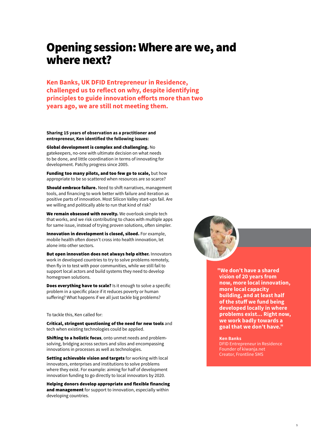# Opening session: Where are we, and where next?

**Ken Banks, UK DFID Entrepreneur in Residence, challenged us to reflect on why, despite identifying principles to guide innovation efforts more than two years ago, we are still not meeting them.**

**Sharing 15 years of observation as a practitioner and entrepreneur, Ken identified the following issues:**

Global development is complex and challenging. No gatekeepers, no-one with ultimate decision on what needs to be done, and little coordination in terms of innovating for development. Patchy progress since 2005.

Funding too many pilots, and too few go to scale, but how appropriate to be so scattered when resources are so scarce?

**Should embrace failure.** Need to shift narratives, management tools, and financing to work better with failure and iteration as positive parts of innovation. Most Silicon Valley start-ups fail. Are we willing and politically able to run that kind of risk?

We remain obsessed with novelty. We overlook simple tech that works, and we risk contributing to chaos with multiple apps for same issue, instead of trying proven solutions, often simpler.

Innovation in development is closed, siloed. For example, mobile health often doesn't cross into health innovation, let alone into other sectors.

But open innovation does not always help either. Innovators work in developed countries to try to solve problems remotely, then fly in to test with poor communities, while we still fail to support local actors and build systems they need to develop homegrown solutions.

Does everything have to scale? Is it enough to solve a specific problem in a specific place if it reduces poverty or human suffering? What happens if we all just tackle big problems?

To tackle this, Ken called for:

Critical, stringent questioning of the need for new tools and tech when existing technologies could be applied.

Shifting to a holistic focus, onto unmet needs and problemsolving, bridging across sectors and silos and encompassing innovations in processes as well as technologies.

Setting achievable vision and targets for working with local innovators, enterprises and institutions to solve problems where they exist. For example: aiming for half of development innovation funding to go directly to local innovators by 2020.

Helping donors develop appropriate and flexible financing and management for support to innovation, especially within developing countries.



**"We don't have a shared vision of 20 years from now, more local innovation, more local capacity building, and at least half of the stuff we fund being developed locally in where problems exist... Right now, we work badly towards a goal that we don't have."**

**Ken Banks**

DFID Entrepreneur in Residence Founder of kiwanja.net Creator, Frontline SMS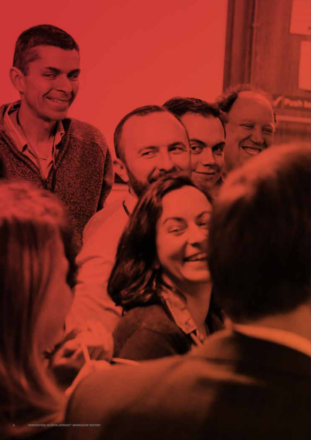**'Innovating in development' Workshop report**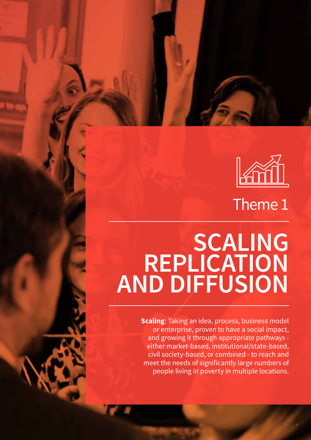

# Theme 1

# **Scaling Replication and diffusion**

**Scaling**: Taking an idea, process, business model or enterprise, proven to have a social impact, and growing it through appropriate pathways either market-based, institutional/state-based, civil society-based, or combined - to reach and meet the needs of significantly large numbers of people living in poverty in multiple locations.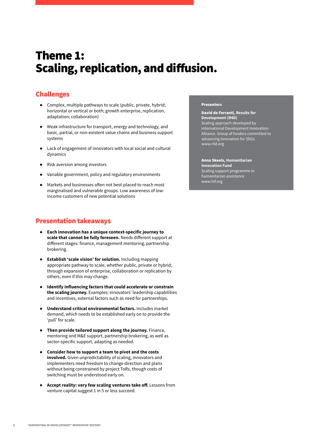# Theme 1: Scaling, replication, and diffusion.

# Challenges

- Complex, multiple pathways to scale (public, private, hybrid; horizontal or vertical or both; growth enterprise, replication, adaptation; collaboration)
- Weak infrastructure for transport, energy and technology, and basic, partial, or non-existent value chains and business support systems
- Lack of engagement of innovators with local social and cultural dynamics
- Risk aversion among investors
- Variable government, policy and regulatory environments
- Markets and businesses often not best-placed to reach most marginalised and vulnerable groups. Low awareness of lowincome customers of new potential solutions

# Presentation takeaways

- **Each innovation has a unique context-specific journey to scale that cannot be fully foreseen.** Needs different support at different stages: finance, management mentoring, partnership brokering.
- **Establish 'scale vision' for solution.** Including mapping appropriate pathway to scale, whether public, private or hybrid, through expansion of enterprise, collaboration or replication by others, even if this may change.
- **Identify influencing factors that could accelerate or constrain the scaling journey.** Examples: innovators' leadership capabilities and incentives, external factors such as need for partnerships.
- **Understand critical environmental factors.** Includes market demand, which needs to be established early on to provide the 'pull' for scale.
- **Then provide tailored support along the journey.** Finance, mentoring and M&E support, partnership brokering, as well as sector-specific support, adapting as needed.
- **Consider how to support a team to pivot and the costs involved.** Given unpredictability of scaling, innovators and implementers need freedom to change direction and plans without being constrained by project ToRs, though costs of switching must be understood early on.
- Accept reality: very few scaling ventures take off. Lessons from venture capital suggest 1 in 5 or less succeed.

### Presenters

David de Ferranti**, Results for Development (R4D)** Scaling approach developed by International Development Innovation Alliance. Group of funders committed to advancing innovation for SDGs www.r4d.org

# Anna Skeels**, Humanitarian Innovation Fund** Scaling support programme in

humanitarian assistance www.hif.org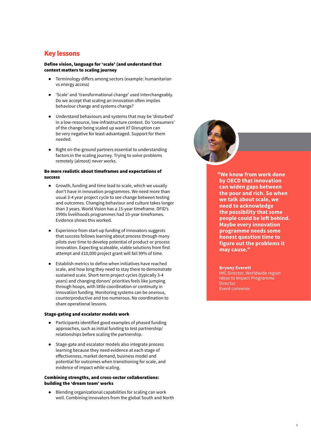# Key lessons

### Define vision, language for 'scale' (and understand that context matters to scaling journey

- Terminology differs among sectors (example: humanitarian vs energy access)
- 'Scale' and 'transformational change' used interchangeably. Do we accept that scaling an innovation often implies behaviour change and systems change?
- Understand behaviours and systems that may be 'disturbed' in a low-resource, low-infrastructure context. Do 'consumers' of the change being scaled up want it? Disruption can be very negative for least-advantaged. Support for them needed.
- Right on-the-ground partners essential to understanding factors in the scaling journey. Trying to solve problems remotely (almost) never works.

# Be more realistic about timeframes and expectations of success

- Growth, funding and time lead to scale, which we usually don't have in innovation programmes. We need more than usual 3-4 year project cycle to see change between testing and outcomes. Changing behaviour and culture takes longer than 3 years. World Vision has a 15-year timeframe. DFID's 1990s livelihoods programmes had 10-year timeframes. Evidence shows this worked.
- Experience from start-up funding of innovators suggests that success follows learning about process through many pilots over time to develop potential of product or process innovation. Expecting scaleable, viable solutions from first attempt and £10,000 project grant will fail 99% of time.
- Establish metrics to define when initiatives have reached scale, and how long they need to stay there to demonstrate sustained scale. Short-term project cycles (typically 3-4 years) and changing donors' priorities feels like jumping through hoops, with little coordination or continuity in innovation funding. Monitoring systems can be onerous, counterproductive and too numerous. No coordination to share operational lessons.

# Stage-gating and escalator models work

- Participants identified good examples of phased funding approaches, such as initial funding to test partnership/ relationships before scaling the partnership.
- Stage-gate and escalator models also integrate process learning because they need evidence at each stage of effectiveness, market demand, business model and potential for outcomes when transitioning for scale, and evidence of impact while scaling.

### Combining strengths, and cross-sector collaborations: building the 'dream team' works

Blending organizational capabilities for scaling can work well. Combining innovators from the global South and North



**"We know from work done by OECD that innovation can widen gaps between the poor and rich. So when we talk about scale, we need to acknowledge the possibility that some people could be left behind. Maybe every innovation programme needs some honest question time to figure out the problems it may cause."**

### **Bryony Everett**

IMC Director, Worldwide region Ideas to Impact Programme Director Event convenor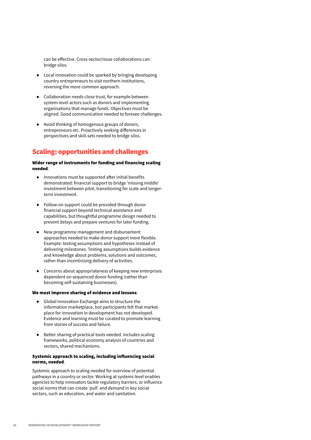can be effective. Cross-sector/issue collaborations can bridge silos.

- Local innovation could be sparked by bringing developing country entrepreneurs to visit northern institutions, reversing the more common approach.
- Collaboration needs close trust, for example between system-level actors such as donors and implementing organisations that manage funds. Objectives must be aligned. Good communication needed to foresee challenges.
- Avoid thinking of homogenous groups of donors, entrepreneurs etc. Proactively seeking differences in perspectives and skill-sets needed to bridge silos.

# Scaling: opportunities and challenges

# Wider range of instruments for funding and financing scaling needed.

- Innovations must be supported after initial benefits demonstrated: financial support to bridge 'missing middle' investment between pilot, transitioning for scale and longerterm investment.
- Follow-on support could be provided through donor financial support beyond technical assistance and capabilities, but thoughtful programme design needed to prevent delays and prepare ventures for later funding.
- New programme management and disbursement approaches needed to make donor support more flexible. Example: testing assumptions and hypotheses instead of delivering milestones. Testing assumptions builds evidence and knowledge about problems, solutions and outcomes, rather than incentivising delivery of activities.
- Concerns about appropriateness of keeping new enterprises dependent on sequenced donor funding (rather than becoming self-sustaining businesses).

# We must improve sharing of evidence and lessons.

- Global Innovation Exchange aims to structure the information marketplace, but participants felt that marketplace for innovation in development has not developed. Evidence and learning must be curated to promote learning from stories of success and failure.
- Better sharing of practical tools needed. Includes scaling frameworks, political economy analysis of countries and sectors, shared mechanisms.

# Systemic approach to scaling, including influencing social norms, needed.

Systemic approach to scaling needed for overview of potential pathways in a country or sector. Working at systems level enables agencies to help innovators tackle regulatory barriers, or influence social norms that can create 'pull' and demand in key social sectors, such as education, and water and sanitation.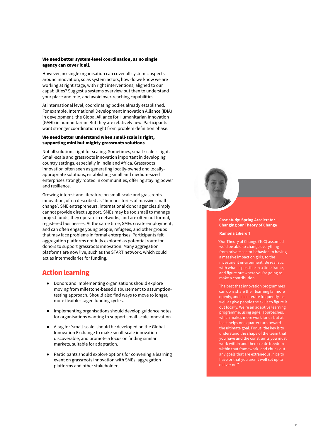# We need better system-level coordination, as no single agency can cover it all .

However, no single organisation can cover all systemic aspects around innovation, so as system actors, how do we know we are working at right stage, with right interventions, aligned to our capabilities? Suggest a systems overview but then to understand your place and role, and avoid over-reaching capabilities.

At international level, coordinating bodies already established. For example, International Development Innovation Alliance (IDIA) in development, the Global Alliance for Humanitarian Innovation (GAHI) in humanitarian. But they are relatively new. Participants want stronger coordination right from problem definition phase.

# We need better understand when small-scale is right, supporting mini but mighty grassroots solutions

Not all solutions right for scaling. Sometimes, small-scale is right. Small-scale and grassroots innovation important in developing country settings, especially in India and Africa. Grassroots innovation often seen as generating locally-owned and locallyappropriate solutions, establishing small and medium-sized enterprises strongly rooted in communities, offering staying power and resilience.

Growing interest and literature on small-scale and grassroots innovation, often described as "human stories of massive small change". SME entrepreneurs: international donor agencies simply cannot provide direct support. SMEs may be too small to manage project funds, they operate in networks, and are often not formal, registered businesses. At the same time, SMEs create employment, and can often engage young people, refugees, and other groups that may face problems in formal enterprises. Participants felt aggregation platforms not fully explored as potential route for donors to support grassroots innovation. Many aggregation platforms are now live, such as the START network, which could act as intermediaries for funding.

# Action learning

- Donors and implementing organisations should explore moving from milestone-based disbursement to assumptiontesting approach. Should also find ways to move to longer, more flexible staged funding cycles.
- Implementing organisations should develop guidance notes for organisations wanting to support small-scale innovation.
- A tag for 'small-scale' should be developed on the Global Innovation Exchange to make small-scale innovation discoverable, and promote a focus on finding similar markets, suitable for adaptation.
- Participants should explore options for convening a learning event on grassroots innovation with SMEs, aggregation platforms and other stakeholders.



### **Case study: Spring Accelerator – Changing our Theory of Change**

### **Ramona Liberoff**

"Our Theory of Change (ToC) assumed we'd be able to change everything from private sector behavior, to having a massive impact on girls, to the investment environment! Be realistic with what is possible in a time frame, and figure out where you're going to make a contribution.

The best that innovation programmes can do is share their learning far more openly, and also iterate frequently, as well as give people the skills to figure it out locally. We're an adaptive learning programme, using agile, approaches, which makes more work for us but at least helps one quarter turn toward the ultimate goal. For us, the key is to understand the shape of the team that you have and the constraints you must work within and then create freedom within that framework -and chuck out any goals that are extraneous, nice to have or that you aren't well set up to deliver on."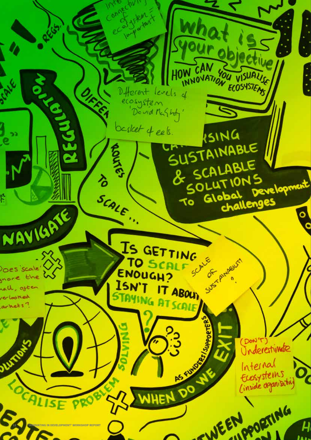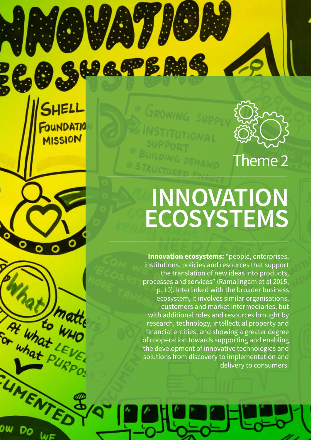SHELL **OUNDATIO MISSION** 

At what LEVEL

**LINENTEL** 

 $D_O$ 

ow

matt

SHEEPBAS



# **Innovation ECOSYSTEM**

**Innovation ecosystems:** "people, enterprises, institutions, policies and resources that support the translation of new ideas into products, processes and services" (Ramalingam et al 2015, p. 10). Interlinked with the broader business ecosystem, it involves similar organisations, customers and market intermediaries, but with additional roles and resources brought by research, technology, intellectual property and financial entities, and showing a greater degree of cooperation towards supporting and enabling the development of innovative technologies and solutions from discovery to implementation and delivery to consumers.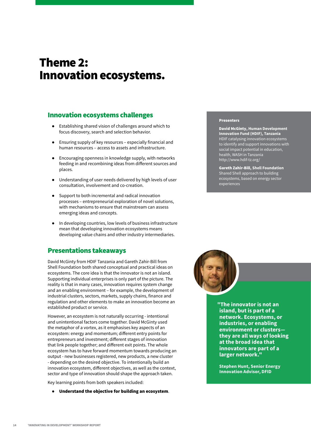# Theme 2: Innovation ecosystems.

# Innovation ecosystems challenges

- Establishing shared vision of challenges around which to focus discovery, search and selection behavior.
- Ensuring supply of key resources especially financial and human resources – access to assets and infrastructure.
- Encouraging openness in knowledge supply, with networks feeding in and recombining ideas from different sources and places.
- Understanding of user needs delivered by high levels of user consultation, involvement and co-creation.
- Support to both incremental and radical innovation processes – entrepreneurial exploration of novel solutions, with mechanisms to ensure that mainstream can assess emerging ideas and concepts.
- In developing countries, low levels of business infrastructure mean that developing innovation ecosystems means developing value chains and other industry intermediaries.

# Presentations takeaways

David McGinty from HDIF Tanzania and Gareth Zahir-Bill from Shell Foundation both shared conceptual and practical ideas on ecosystems. The core idea is that the innovator is not an island. Supporting individual enterprises is only part of the picture. The reality is that in many cases, innovation requires system change and an enabling environment – for example, the development of industrial clusters, sectors, markets, supply chains, finance and regulation and other elements to make an innovation become an established product or service.

However, an ecosystem is not naturally occurring - intentional and unintentional factors come together. David McGinty used the metaphor of a vortex, as it emphasises key aspects of an ecosystem: energy and momentum; different entry points for entrepreneurs and investment; different stages of innovation that link people together; and different exit points. The whole ecosystem has to have forward momentum towards producing an output - new businesses registered, new products, a new cluster - depending on the desired objective. To intentionally build an innovation ecosystem, different objectives, as well as the context, sector and type of innovation should shape the approach taken.

Key learning points from both speakers included:

● Understand the objective for building an ecosystem.

### Presenters

David McGinty**, Human Development Innovation Fund (HDIF), Tanzania** HDIF catalysing innovation ecosystems to identify and support innovations with social impact potential in education, health, WASH in Tanzania http://www.hdif-tz.org/

Gareth Zahir-Bill**, Shell Foundation** Shared Shell approach to building ecosystems, based on energy sector experiences



**"The innovator is not an island, but is part of a network. Ecosystems, or industries, or enabling environment or clusters they are all ways of looking at the broad idea that innovators are part of a larger network."**

**Stephen Hunt, Senior Energy Innovation Advisor, DFID**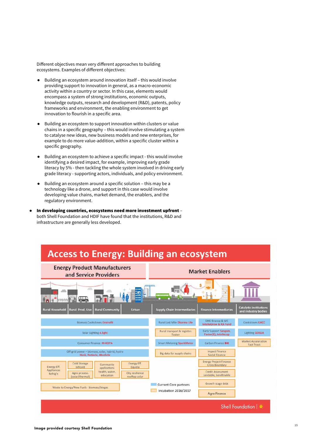Different objectives mean very different approaches to building ecosystems. Examples of different objectives:

- Building an ecosystem around innovation itself this would involve providing support to innovation in general, as a macro-economic activity within a country or sector. In this case, elements would encompass a system of strong institutions, economic outputs, knowledge outputs, research and development (R&D), patents, policy frameworks and environment, the enabling environment to get innovation to flourish in a specific area.
- Building an ecosystem to support innovation within clusters or value chains in a specific geography – this would involve stimulating a system to catalyse new ideas, new business models and new enterprises, for example to do more value-addition, within a specific cluster within a specific geography.
- Building an ecosystem to achieve a specific impact this would involve identifying a desired impact, for example, improving early grade literacy by 5% - then tackling the whole system involved in driving early grade literacy - supporting actors, individuals, and policy environment.
- Building an ecosystem around a specific solution this may be a technology like a drone, and support in this case would involve developing value chains, market demand, the enablers, and the regulatory environment.
- In developing countries, ecosystems need more investment upfront both Shell Foundation and HDIF have found that the institutions, R&D and infrastructure are generally less developed.

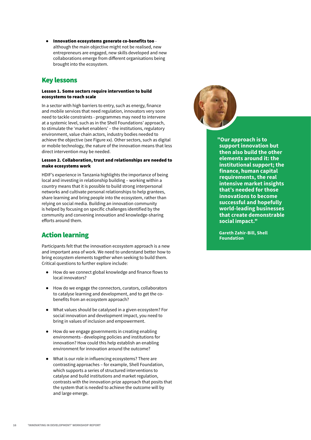Innovation ecosystems generate co-benefits too although the main objective might not be realised, new entrepreneurs are engaged, new skills developed and new collaborations emerge from different organisations being brought into the ecosystem.

# Key lessons

# Lesson 1. Some sectors require intervention to build ecosystems to reach scale

In a sector with high barriers to entry, such as energy, finance and mobile services that need regulation, innovators very soon need to tackle constraints - programmes may need to intervene at a systemic level, such as in the Shell Foundations' approach, to stimulate the 'market enablers' – the institutions, regulatory environment, value chain actors, industry bodies needed to achieve the objective (see Figure xx). Other sectors, such as digital or mobile technology, the nature of the innovation means that less direct intervention may be needed.

# Lesson 2. Collaboration, trust and relationships are needed to make ecosystems work

HDIF's experience in Tanzania highlights the importance of being local and investing in relationship building – working within a country means that it is possible to build strong interpersonal networks and cultivate personal relationships to help grantees, share learning and bring people into the ecosystem, rather than relying on social media. Building an innovation community is helped by focusing on specific challenges identified by the community and convening innovation and knowledge-sharing efforts around them.

# Action learning

Participants felt that the innovation ecosystem approach is a new and important area of work. We need to understand better how to bring ecosystem elements together when seeking to build them. Critical questions to further explore include:

- How do we connect global knowledge and finance flows to local innovators?
- How do we engage the connectors, curators, collaborators to catalyse learning and development, and to get the cobenefits from an ecosystem approach?
- What values should be catalysed in a given ecosystem? For social innovation and development impact, you need to bring in values of inclusion and empowerment.
- How do we engage governments in creating enabling environments - developing policies and institutions for innovation? How could this help establish an enabling environment for innovation around the outcome?
- What is our role in influencing ecosystems? There are contrasting approaches – for example, Shell Foundation, which supports a series of structured interventions to catalyse and build institutions and market regulation, contrasts with the innovation prize approach that posits that the system that is needed to achieve the outcome will by and large emerge.



**"Our approach is to support innovation but then also build the other elements around it: the institutional support; the finance, human capital requirements, the real intensive market insights that's needed for those innovations to become successful and hopefully world-leading businesses that create demonstrable social impact."**

**Gareth Zahir-Bill, Shell Foundation**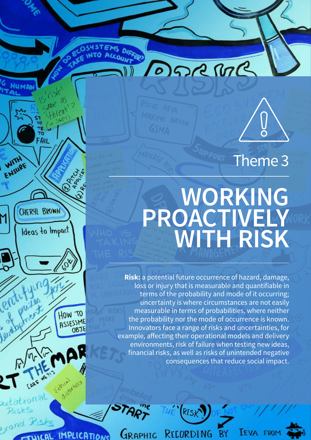# **Working proactively with risk**

DORME

Theme 3

**Risk:** a potential future occurrence of hazard, damage, loss or injury that is measurable and quantifiable in terms of the probability and mode of it occurring; uncertainty is where circumstances are not easily measurable in terms of probabilities, where neither the probability nor the mode of occurrence is known. Innovators face a range of risks and uncertainties, for example, affecting their operational models and delivery environments, risk of failure when testing new ideas, financial risks, as well as risks of unintended negative consequences that reduce social impact.

*rand* **CTUICAL IMPLICATIONS** 

HOW TO ASSESSME  $08Jt$ 

ductor kers

GRAPHIC

NSTEMS DIRE NTO ACCOUNT

**HUMA** 

**HITILA** ENJURE

TE<br>TO FAIL

CHERYL BROWN

Ideas to Impact

**RECORDING** 

RISK

**IEVA FROM BY** 

**17**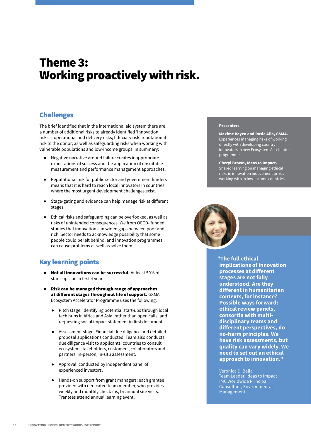# Theme 3: Working proactively with risk.

# Challenges

The brief identified that in the international aid system there are a number of additional risks to already identified 'innovation risks' – operational and delivery risks; fiduciary risk; reputational risk to the donor; as well as safeguarding risks when working with vulnerable populations and low-income groups. In summary:

- Negative narrative around failure creates inappropriate expectations of success and the application of unsuitable measurement and performance management approaches.
- Reputational risk for public sector and government funders means that it is hard to reach local innovators in countries where the most urgent development challenges exist.
- Stage-gating and evidence can help manage risk at different stages.
- Ethical risks and safeguarding can be overlooked, as well as risks of unintended consequences. We from OECD- funded studies that innovation can widen gaps between poor and rich. Sector needs to acknowledge possibility that some people could be left behind, and innovation programmes can cause problems as well as solve them.

# Key learning points

- Not all innovations can be successful. At least 50% of start- ups fail in first 4 years.
- Risk can be managed through range of approaches at different stages throughout life of support. GSMA Ecosystem Accelerator Programme uses the following:
	- Pitch stage: Identifying potential start-ups through local tech hubs in Africa and Asia, rather than open calls, and requesting social impact statement in first document.
	- Assessment stage: Financial due diligence and detailed proposal applications conducted. Team also conducts due diligence visit to applicants' countries to consult ecosystem stakeholders, customers, collaborators and partners. In-person, in-situ assessment.
	- Approval: conducted by independent panel of experienced investors.
	- Hands-on support from grant managers: each grantee provided with dedicated team member, who provides weekly and monthly check-ins, bi-annual site visits. Trantees attend annual learning event.

### Presenters

Maxime Bayen and Rosie Afia, GSMA. Experiences managing risks of working directly with developing country innovators in new Ecosystem Accelerator programme

### Cheryl Brown, Ideas to Impact.

Shared learning on managing ethical risks in innovation inducement prizes working with in low-income countries



**"The full ethical implications of innovation processes at different stages are not fully understood. Are they different in humanitarian contexts, for instance? Possible ways forward: ethical review panels, consortia with multidisciplinary teams and different perspectives, dono-harm principles. We have risk assessments, but quality can vary widely. We need to set out an ethical approach to innovation."**

Veronica Di Bella Team Leader, Ideas to Impact IMC Worldwide Principal Consultant, Environmental Management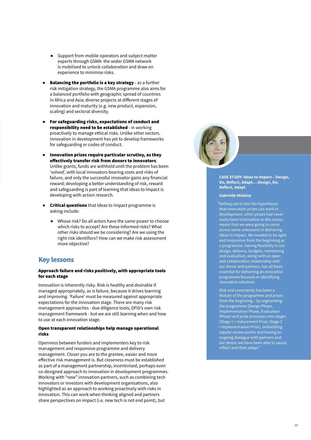- Support from mobile operators and subject matter experts through GSMA: the wider GSMA network is mobilised to unlock collaboration and draw on experience to minimise risks.
- Balancing the portfolio is a key strategy as a further risk mitigation strategy, the GSMA programme also aims for a balanced portfolio with geographic spread of countries in Africa and Asia; diverse projects at different stages of innovation and maturity (e.g. new product, expansion, scaling) and sectoral diversity.
- For safeguarding risks, expectations of conduct and responsibility need to be established - in working proactively to manage ethical risks. Unlike other sectors. innovation in development has yet to develop frameworks for safeguarding or codes of conduct.
- Innovation prizes require particular scrutiny, as they effectively transfer risk from donors to innovators. Unlike grants, funds are withheld until the problem has been 'solved', with local innovators bearing costs and risks of failure, and only the successful innovator gains any financial reward; developing a better understanding of risk, reward and safeguarding is part of learning that Ideas to Impact is developing with action research.
- **Critical questions** that Ideas to Impact programme is asking include:
	- Whose risk? Do all actors have the same power to choose which risks to accept? Are these informed risks? What other risks should we be considering? Are we using the right risk identifiers? How can we make risk assessment more objective?

# Key lessons

# Approach failure and risks positively, with appropriate tools for each stage

Innovation is inherently risky. Risk is healthy and desirable if managed appropriately, as is failure, because it drives learning and improving. 'Failure' must be measured against appropriate expectations for the innovation stage. There are many risk management approaches - due diligence tools; DFID's own risk management framework - but we are still learning when and how to use at each innovation stage.

# Open transparent relationships help manage operational risks

Openness between funders and implementers key to risk management and responsive programme and delivery management. Closer you are to the grantee, easier and more effective risk management is. But closeness must be established as part of a management partnership, incentivised, perhaps even co-designed approach to innovation in development programmes. Working with "new" innovation partners, such as combining tech innovators or investors with development organisations, also highlighted as an approach to working proactively with risks in innovation. This can work when thinking aligned and partners share perspectives on impact (i.e. new tech is not end point), but



**Case Study: Ideas to Impact – Design, Do, Reflect, Adapt…. Design, Do, Reflect, Adapt**

# **Gabrielle Minkley**

"Setting out to test the hypotheses that innovation prizes can work in development, when prizes had never really been tried before in this sector, meant that we were going to come across some unknowns in delivering Ideas to Impact. We needed to be agile and responsive from the beginning as a programme. Having flexibility in our design, delivery, budgets, monitoring and evaluation, along with an open and collaborative relationship with our donor and partners, has all been essential for delivering an innovative programme focused on identifying

Risk and uncertainty has been a feature of the programme and prizes from the beginning – by segmenting the programme (Design Phase, Implementation Phase, Evaluation Phase) and prize processes into stages (Stage 1 = Inducement Prize, Stage 2 = Implementation Prize), embedding regular review points and having an ongoing dialogue with partners and our donor, we have been able to pause, reflect and then adapt."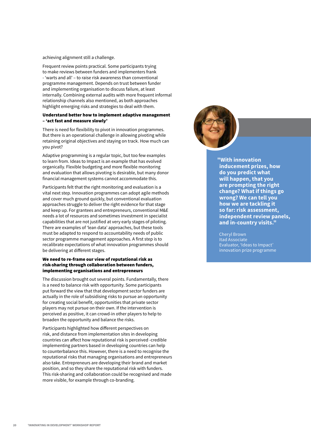achieving alignment still a challenge.

Frequent review points practical. Some participants trying to make reviews between funders and implementers frank - 'warts and all' – to raise risk awareness than conventional programme management. Depends on trust between funder and implementing organisation to discuss failure, at least internally. Combining external audits with more frequent informal relationship channels also mentioned, as both approaches highlight emerging risks and strategies to deal with them.

# Understand better how to implement adaptive management – 'act fast and measure slowly'

There is need for flexibility to pivot in innovation programmes. But there is an operational challenge in allowing pivoting while retaining original objectives and staying on track. How much can you pivot?

Adaptive programming is a regular topic, but too few examples to learn from. Ideas to Impact is an example that has evolved organically. Flexible budgeting and more flexible monitoring and evaluation that allows pivoting is desirable, but many donor financial management systems cannot accommodate this.

Participants felt that the right monitoring and evaluation is a vital next step. Innovation programmes can adopt agile methods and cover much ground quickly, but conventional evaluation approaches struggle to deliver the right evidence for that stage and keep up. For grantees and entrepreneurs, conventional M&E needs a lot of resources and sometimes investment in specialist capabilities that are not justified at very early stages of piloting. There are examples of 'lean data' approaches, but these tools must be adapted to respond to accountability needs of public sector programme management approaches. A first step is to recalibrate expectations of what innovation programmes should be delivering at different stages.

# We need to re-frame our view of reputational risk as risk-sharing through collaboration between funders, implementing organisations and entrepreneurs

The discussion brought out several points. Fundamentally, there is a need to balance risk with opportunity. Some participants put forward the view that that development sector funders are actually in the role of subsidising risks to pursue an opportunity for creating social benefit, opportunities that private sector players may not pursue on their own. If the intervention is perceived as positive, it can crowd-in other players to help to broaden the opportunity and balance the risks.

Participants highlighted how different perspectives on risk, and distance from implementation sites in developing countries can affect how reputational risk is perceived -credible implementing partners based in developing countries can help to counterbalance this. However, there is a need to recognise the reputational risks that managing organisations and entrepreneurs also take. Entrepreneurs are developing their brand and market position, and so they share the reputational risk with funders. This risk-sharing and collaboration could be recognised and made more visible, for example through co-branding.



**"With innovation inducement prizes, how do you predict what will happen, that you are prompting the right change? What if things go wrong? We can tell you how we are tackling it so far: risk assessment, independent review panels, and in-country visits."**

# Cheryl Brown Itad Associate Evaluator, 'Ideas to Impact' innovation prize programme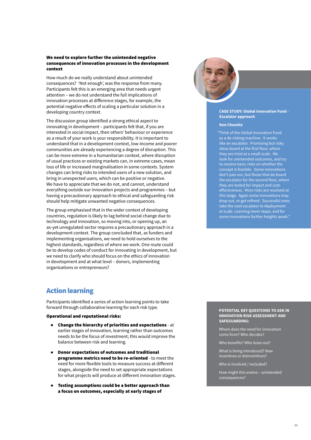# We need to explore further the unintended negative consequences of innovation processes in the development context

How much do we really understand about unintended consequences? 'Not enough', was the response from many. Participants felt this is an emerging area that needs urgent attention – we do not understand the full implications of innovation processes at difference stages, for example, the potential negative effects of scaling a particular solution in a developing country context.

The discussion group identified a strong ethical aspect to innovating in development – participants felt that, if you are interested in social impact, then others' behaviour or experience as a result of your work is your responsibility. It is important to understand that in a development context, low-income and poorer communities are already experiencing a degree of disruption. This can be more extreme in a humanitarian context, where disruption of usual practices or existing markets can, in extreme cases, mean loss of life or increased marginalisation in some contexts. System changes can bring risks to intended users of a new solution, and bring in unexpected users, which can be positive or negative. We have to appreciate that we do not, and cannot, understand everything outside our innovation projects and programmes – but having a precautionary approach to ethical and safeguarding risk should help mitigate unwanted negative consequences.

The group emphasised that in the wider context of developing countries, regulation is likely to lag behind social change due to technology and innovation, so moving into, or opening up, an as-yet unregulated sector requires a precautionary approach in a development context. The group concluded that, as funders and implementing organisations, we need to hold ourselves to the highest standards, regardless of where we work. One route could be to develop codes of conduct for innovating in development, but we need to clarify who should focus on the ethics of innovation in development and at what level – donors, implementing organisations or entrepreneurs?

# Action learning

Participants identified a series of action learning points to take forward through collaborative learning for each risk type.

# Operational and reputational risks:

- Change the hierarchy of priorities and expectations at earlier stages of innovation, learning rather than outcomes needs to be the focus of investment; this would improve the balance between risk and learning.
- Donor expectations of outcomes and traditional programme metrics need to be re-oriented - to meet the need for more flexible tools to measure success at different stages, alongside the need to set appropriate expectations for what projects will produce at different innovation stages.
- Testing assumptions could be a better approach than a focus on outcomes, especially at early stages of



# **Case study: Global Innovation Fund - Escalator approach**

### **Ken Chomitz**

"Think of the Global Innovation Fund as a de-risking machine. It works like an escalator. Promising but risky ideas board at the first floor, where they are tried at a small scale. We look for unintended outcomes, and try to resolve basic risks on whether the concept is feasible. Some innovations don't pan out, but those that do board the escalator for the second floor, where they are tested for impact and costeffectiveness. More risks are resolved at this stage. Again some innovations may drop out, or get refined. Successful ones take the next escalator to deployment at scale. Learning never stops, and for some innovations further heights await."

### **Potential key questions to ask in innovation risk assessment and safeguarding:**

Where does the need for innovation come from? Who decides?

Who benefits? Who loses out?

What is being introduced? New incentives or disincentives?

Who is involved / excluded?

How might this evolve – unintended consequences?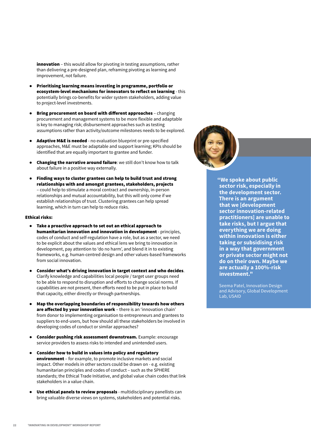**innovation** – this would allow for pivoting in testing assumptions, rather than delivering a pre-designed plan, reframing pivoting as learning and improvement, not failure.

- Prioritising learning means investing in programme, portfolio or ecosystem-level mechanisms for innovators to reflect on learning - this potentially brings co-benefits for wider system stakeholders, adding value to project-level investments.
- **Bring procurement on board with different approaches changing** procurement and management systems to be more flexible and adaptable is key to managing risk; disbursement approaches such as testing assumptions rather than activity/outcome milestones needs to be explored.
- Adaptive M&E is needed no evaluation blueprint or pre-specified approaches, M&E must be adaptable and support learning; KPIs should be identified that are equally important to grantee and funder.
- **Changing the narrative around failure**: we still don't know how to talk about failure in a positive way externally.
- Finding ways to cluster grantees can help to build trust and strong relationships with and amongst grantees, stakeholders, projects – could help to stimulate a moral contract and ownership, in-person relationships and mutual accountability, but this will only come if we establish relationships of trust. Clustering grantees can help spread learning, which in turn can help to reduce risks.

### Ethical risks:

- Take a proactive approach to set out an ethical approach to humanitarian innovation and innovation in development - principles, codes of conduct and self-regulation have a role, but as a sector, we need to be explicit about the values and ethical lens we bring to innovation in development, pay attention to 'do no harm', and blend it in to existing frameworks, e.g. human-centred design and other values-based frameworks from social innovation.
- Consider what's driving innovation in target context and who decides. Clarify knowledge and capabilities local people / target user groups need to be able to respond to disruption and efforts to change social norms. If capabilities are not present, then efforts need to be put in place to build that capacity, either directly or through partnerships.
- Map the overlapping boundaries of responsibility towards how others are affected by your innovation work – there is an 'innovation chain' from donor to implementing organisation to entrepreneurs and grantees to suppliers to end-users, but how should all these stakeholders be involved in developing codes of conduct or similar approaches?
- Consider pushing risk assessment downstream. Example: encourage service providers to assess risks to intended and unintended users.
- Consider how to build in values into policy and regulatory environment – for example, to promote inclusive markets and social impact. Other models in other sectors could be drawn on - e.g. existing humanitarian principles and codes of conduct – such as the SPHERE standards; the Ethical Trade Initiative, and global value chain codes that link stakeholders in a value chain.
- Use ethical panels to review proposals multidisciplinary panellists can bring valuable diverse views on systems, stakeholders and potential risks.



**"We spoke about public sector risk, especially in the development sector. There is an argument that we [development sector innovation-related practitioners] are unable to take risks, but I argue that everything we are doing within innovation is either taking or subsidising risk in a way that government or private sector might not do on their own. Maybe we are actually a 100%-risk investment."**

Seema Patel, Innovation Design and Advisory, Global Development Lab, USAID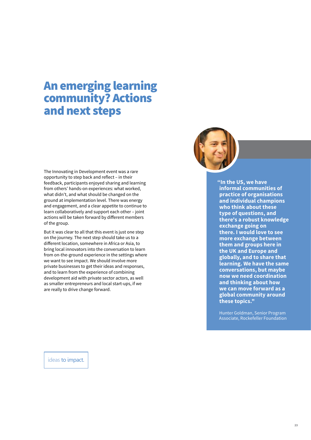# An emerging learning community? Actions and next steps

The Innovating in Development event was a rare opportunity to step back and reflect – in their feedback, participants enjoyed sharing and learning from others' hands-on experiences: what worked, what didn't, and what should be changed on the ground at implementation level. There was energy and engagement, and a clear appetite to continue to learn collaboratively and support each other – joint actions will be taken forward by different members of the group.

But it was clear to all that this event is just one step on the journey. The next step should take us to a different location, somewhere in Africa or Asia, to bring local innovators into the conversation to learn from on-the-ground experience in the settings where we want to see impact. We should involve more private businesses to get their ideas and responses, and to learn from the experience of combining development aid with private sector actors, as well as smaller entrepreneurs and local start-ups, if we are really to drive change forward.



**"In the US, we have informal communities of practice of organisations and individual champions who think about these type of questions, and there's a robust knowledge exchange going on there. I would love to see more exchange between them and groups here in the UK and Europe and globally, and to share that learning. We have the same conversations, but maybe now we need coordination and thinking about how we can move forward as a global community around these topics."**

Hunter Goldman, Senior Program Associate, Rockefeller Foundation

ideas to impact.